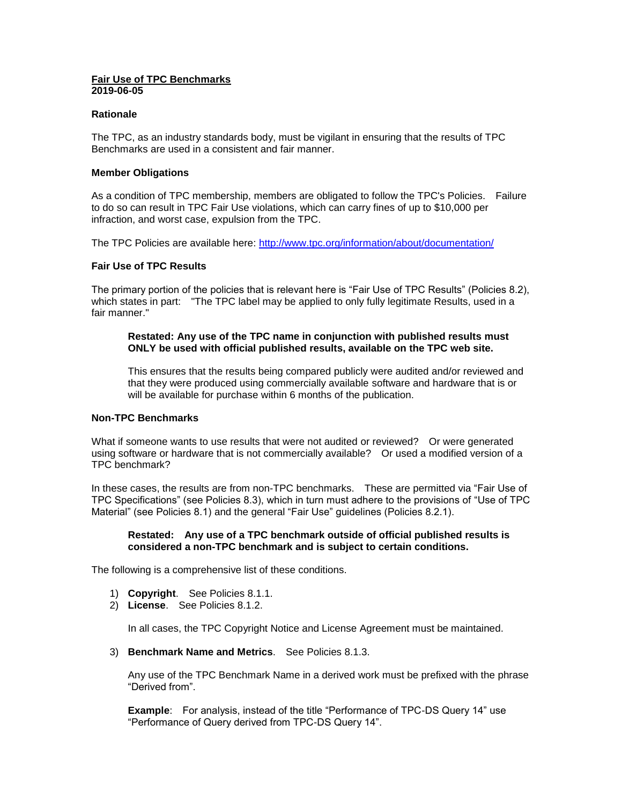### **Fair Use of TPC Benchmarks 2019-06-05**

### **Rationale**

The TPC, as an industry standards body, must be vigilant in ensuring that the results of TPC Benchmarks are used in a consistent and fair manner.

## **Member Obligations**

As a condition of TPC membership, members are obligated to follow the TPC's Policies. Failure to do so can result in TPC Fair Use violations, which can carry fines of up to \$10,000 per infraction, and worst case, expulsion from the TPC.

The TPC Policies are available here:<http://www.tpc.org/information/about/documentation/>

## **Fair Use of TPC Results**

The primary portion of the policies that is relevant here is "Fair Use of TPC Results" (Policies 8.2), which states in part: "The TPC label may be applied to only fully legitimate Results, used in a fair manner."

### **Restated: Any use of the TPC name in conjunction with published results must ONLY be used with official published results, available on the TPC web site.**

This ensures that the results being compared publicly were audited and/or reviewed and that they were produced using commercially available software and hardware that is or will be available for purchase within 6 months of the publication.

# **Non-TPC Benchmarks**

What if someone wants to use results that were not audited or reviewed? Or were generated using software or hardware that is not commercially available? Or used a modified version of a TPC benchmark?

In these cases, the results are from non-TPC benchmarks. These are permitted via "Fair Use of TPC Specifications" (see Policies 8.3), which in turn must adhere to the provisions of "Use of TPC Material" (see Policies 8.1) and the general "Fair Use" guidelines (Policies 8.2.1).

## **Restated: Any use of a TPC benchmark outside of official published results is considered a non-TPC benchmark and is subject to certain conditions.**

The following is a comprehensive list of these conditions.

- 1) **Copyright**. See Policies 8.1.1.
- 2) **License**. See Policies 8.1.2.

In all cases, the TPC Copyright Notice and License Agreement must be maintained.

3) **Benchmark Name and Metrics**. See Policies 8.1.3.

Any use of the TPC Benchmark Name in a derived work must be prefixed with the phrase "Derived from".

**Example**: For analysis, instead of the title "Performance of TPC-DS Query 14" use "Performance of Query derived from TPC-DS Query 14".